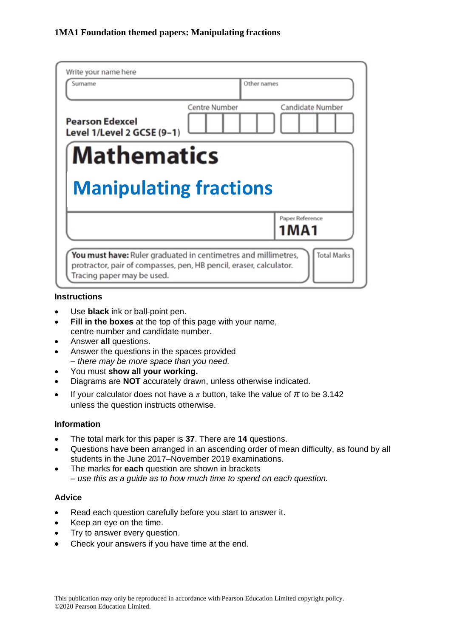| Write your name here<br>Surname                      |               | Other names             |
|------------------------------------------------------|---------------|-------------------------|
| <b>Pearson Edexcel</b><br>Level 1/Level 2 GCSE (9-1) | Centre Number | Candidate Number        |
| <b>Mathematics</b>                                   |               |                         |
|                                                      |               |                         |
|                                                      |               |                         |
| <b>Manipulating fractions</b>                        |               |                         |
|                                                      |               | Paper Reference<br>1MA1 |

## **Instructions**

- Use **black** ink or ball-point pen.
- **Fill in the boxes** at the top of this page with your name, centre number and candidate number.
- Answer **all** questions.
- Answer the questions in the spaces provided *– there may be more space than you need.*
- You must **show all your working.**
- Diagrams are **NOT** accurately drawn, unless otherwise indicated.
- If your calculator does not have a  $\pi$  button, take the value of  $\pi$  to be 3.142 unless the question instructs otherwise.

# **Information**

- The total mark for this paper is **37**. There are **14** questions.
- Questions have been arranged in an ascending order of mean difficulty, as found by all students in the June 2017–November 2019 examinations.
- The marks for **each** question are shown in brackets *– use this as a guide as to how much time to spend on each question.*

# **Advice**

- Read each question carefully before you start to answer it.
- Keep an eye on the time.
- Try to answer every question.
- Check your answers if you have time at the end.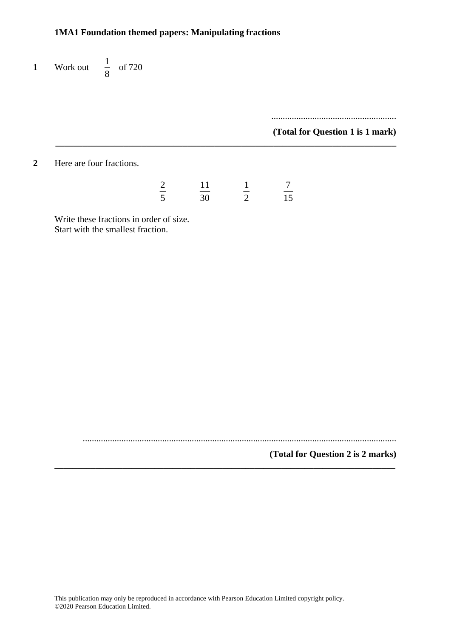**1** Work out  $\frac{1}{2}$  $\frac{1}{8}$  of 720

> ....................................................... **(Total for Question 1 is 1 mark)**

**2** Here are four fractions.

| $\overline{2}$ | 1            |    |
|----------------|--------------|----|
| ς<br>÷         | $30^{\circ}$ | 15 |

**\_\_\_\_\_\_\_\_\_\_\_\_\_\_\_\_\_\_\_\_\_\_\_\_\_\_\_\_\_\_\_\_\_\_\_\_\_\_\_\_\_\_\_\_\_\_\_\_\_\_\_\_\_\_\_\_\_\_\_\_\_\_\_\_\_\_\_\_\_\_\_\_\_\_\_**

Write these fractions in order of size. Start with the smallest fraction.

..........................................................................................................................................

**\_\_\_\_\_\_\_\_\_\_\_\_\_\_\_\_\_\_\_\_\_\_\_\_\_\_\_\_\_\_\_\_\_\_\_\_\_\_\_\_\_\_\_\_\_\_\_\_\_\_\_\_\_\_\_\_\_\_\_\_\_\_\_\_\_\_\_\_\_\_\_\_\_\_\_**

# **(Total for Question 2 is 2 marks)**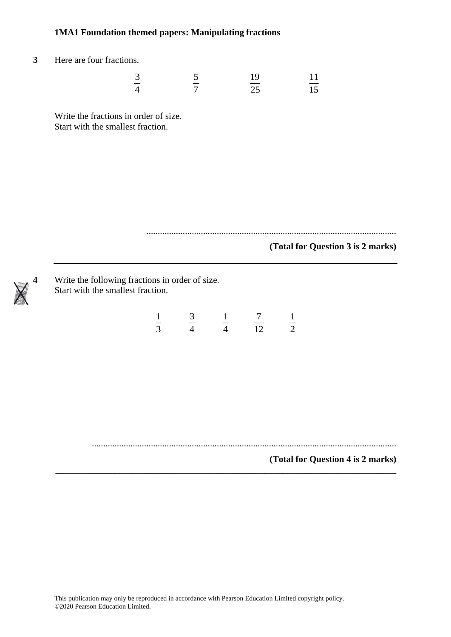Here are four fractions.

| $\sqrt{2}$<br><u>ب</u>                               | 19         |      |
|------------------------------------------------------|------------|------|
| $\overline{\phantom{a}}$<br>$\boldsymbol{\varDelta}$ | ____<br>つち | ____ |

Write the fractions in order of size. Start with the smallest fraction.

..............................................................................................................

### **(Total for Question 3 is 2 marks)**

```
4 Write the following fractions in order of size.
Start with the smallest fraction.
```
 

......................................................................................................................................

**\_\_\_\_\_\_\_\_\_\_\_\_\_\_\_\_\_\_\_\_\_\_\_\_\_\_\_\_\_\_\_\_\_\_\_\_\_\_\_\_\_\_\_\_\_\_\_\_\_\_\_\_\_\_\_\_\_\_\_\_\_\_\_\_\_\_\_\_\_\_\_\_\_\_\_**

# **(Total for Question 4 is 2 marks)**

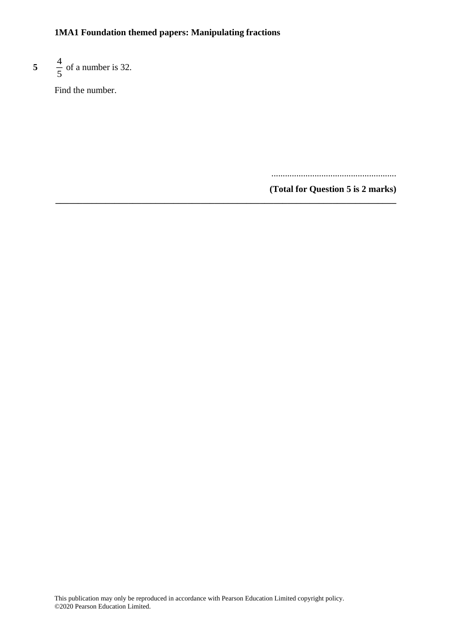**\_\_\_\_\_\_\_\_\_\_\_\_\_\_\_\_\_\_\_\_\_\_\_\_\_\_\_\_\_\_\_\_\_\_\_\_\_\_\_\_\_\_\_\_\_\_\_\_\_\_\_\_\_\_\_\_\_\_\_\_\_\_\_\_\_\_\_\_\_\_\_\_\_\_\_**

#### **5** 4  $\frac{1}{5}$  of a number is 32.

Find the number.

.......................................................

**(Total for Question 5 is 2 marks)**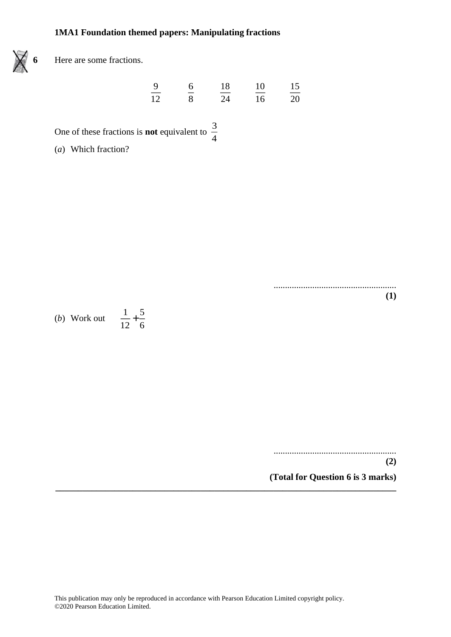

**6** Here are some fractions.

| -9   | h  | 18    | 10    | 15    |
|------|----|-------|-------|-------|
| ____ | -- | _____ | _____ | _____ |
| 12   |    | 24    | 16    | 20    |

One of these fractions is **not** equivalent to  $\frac{3}{7}$ 4

(*a*) Which fraction?

...................................................... **(1)**

(*b*) Work out  $\frac{1}{16}$  $\frac{1}{12}$  + 5 6

> ...................................................... **(2)**

**(Total for Question 6 is 3 marks)**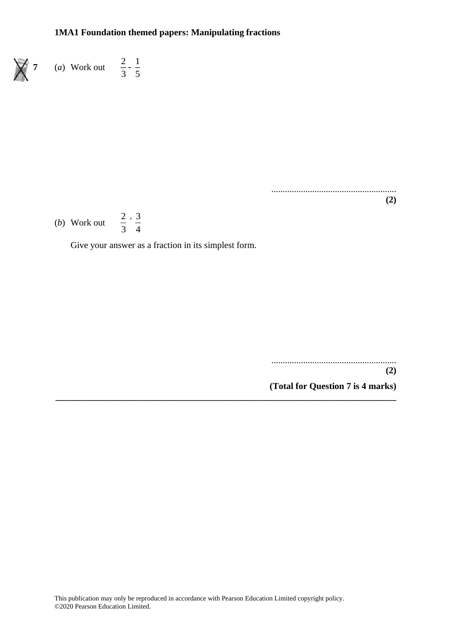$\frac{1}{3}$ 

1 5



....................................................... **(2)**

(*b*) Work out  $\frac{2}{3}$ 3 ´3 4

Give your answer as a fraction in its simplest form.

....................................................... **(2) (Total for Question 7 is 4 marks)**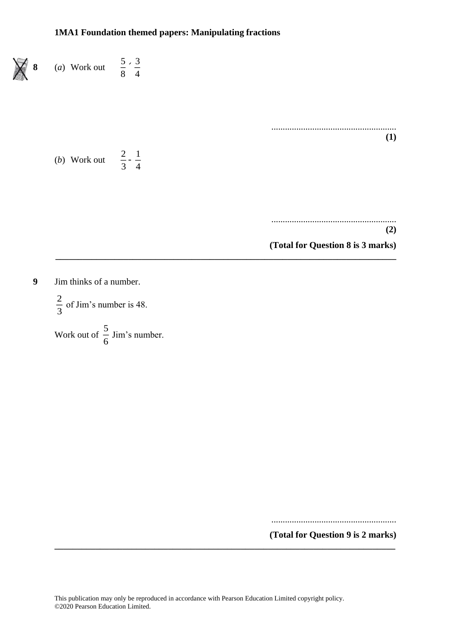

**9** Jim thinks of a number.

2  $\frac{2}{3}$  of Jim's number is 48.

Work out of  $\frac{5}{5}$  $\frac{5}{6}$  Jim's number.

.......................................................

**(Total for Question 9 is 2 marks) \_\_\_\_\_\_\_\_\_\_\_\_\_\_\_\_\_\_\_\_\_\_\_\_\_\_\_\_\_\_\_\_\_\_\_\_\_\_\_\_\_\_\_\_\_\_\_\_\_\_\_\_\_\_\_\_\_\_\_\_\_\_\_\_\_\_\_\_\_\_\_\_\_\_\_**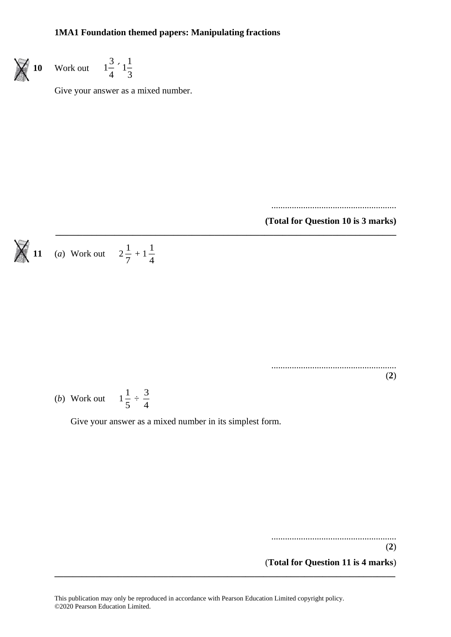

Work out 
$$
1\frac{3}{4} \div 1\frac{1}{3}
$$

Give your answer as a mixed number.

.......................................................

**(Total for Question 10 is 3 marks)**

$$
\bigtimes
$$

11 (a) Work out 
$$
2\frac{1}{7} + 1\frac{1}{4}
$$

.......................................................

(**2**)

(b) Work out 
$$
1\frac{1}{5} \div \frac{3}{4}
$$

Give your answer as a mixed number in its simplest form.

**\_\_\_\_\_\_\_\_\_\_\_\_\_\_\_\_\_\_\_\_\_\_\_\_\_\_\_\_\_\_\_\_\_\_\_\_\_\_\_\_\_\_\_\_\_\_\_\_\_\_\_\_\_\_\_\_\_\_\_\_\_\_\_\_\_\_\_\_\_\_\_\_\_\_\_**

.......................................................

(**2**) (**Total for Question 11 is 4 marks**)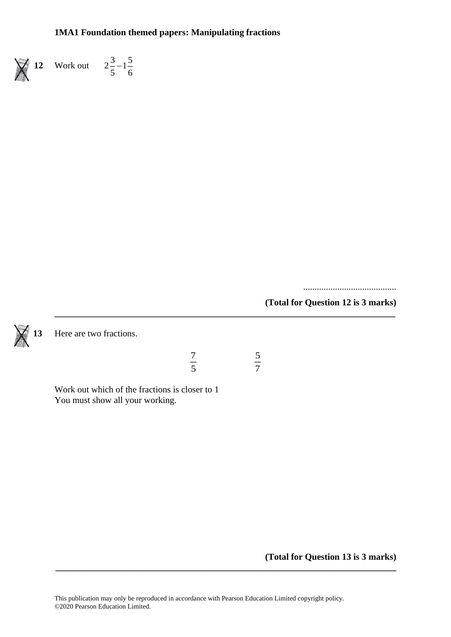

**12** Work out  $2\frac{3}{5} - 1\frac{5}{5}$  $\frac{1}{5}$ <sup>-1</sup> $\frac{1}{6}$ 

.........................................

**(Total for Question 12 is 3 marks)**



**13** Here are two fractions.

| 7 |    |
|---|----|
|   |    |
| ς | ۰. |

**\_\_\_\_\_\_\_\_\_\_\_\_\_\_\_\_\_\_\_\_\_\_\_\_\_\_\_\_\_\_\_\_\_\_\_\_\_\_\_\_\_\_\_\_\_\_\_\_\_\_\_\_\_\_\_\_\_\_\_\_\_\_\_\_\_\_\_\_\_\_\_\_\_\_\_**

Work out which of the fractions is closer to 1 You must show all your working.

**(Total for Question 13 is 3 marks)**